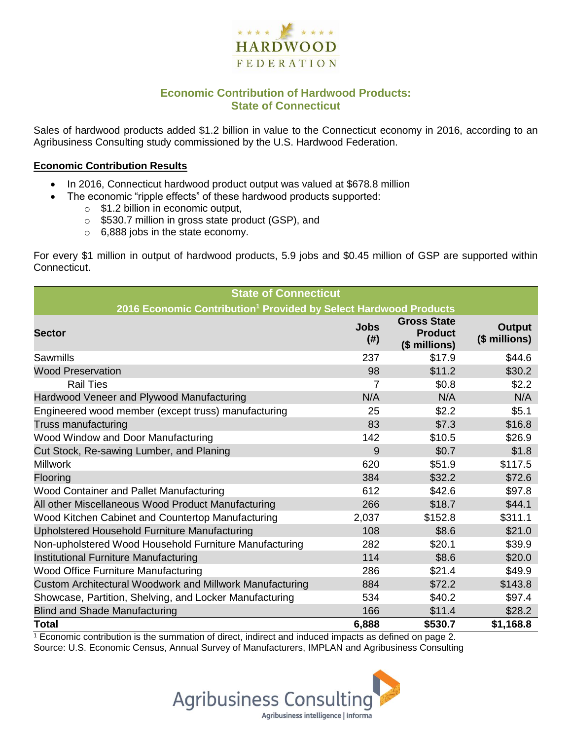

## **Economic Contribution of Hardwood Products: State of Connecticut**

Sales of hardwood products added \$1.2 billion in value to the Connecticut economy in 2016, according to an Agribusiness Consulting study commissioned by the U.S. Hardwood Federation.

#### **Economic Contribution Results**

- In 2016, Connecticut hardwood product output was valued at \$678.8 million
	- The economic "ripple effects" of these hardwood products supported:
		- o \$1.2 billion in economic output,
		- o \$530.7 million in gross state product (GSP), and
		- o 6,888 jobs in the state economy.

For every \$1 million in output of hardwood products, 5.9 jobs and \$0.45 million of GSP are supported within Connecticut.

| <b>State of Connecticut</b>                                                  |                          |                                                       |                                |  |  |  |
|------------------------------------------------------------------------------|--------------------------|-------------------------------------------------------|--------------------------------|--|--|--|
| 2016 Economic Contribution <sup>1</sup> Provided by Select Hardwood Products |                          |                                                       |                                |  |  |  |
| <b>Sector</b>                                                                | <b>Jobs</b><br>$($ # $)$ | <b>Gross State</b><br><b>Product</b><br>(\$ millions) | <b>Output</b><br>(\$ millions) |  |  |  |
| Sawmills                                                                     | 237                      | \$17.9                                                | \$44.6                         |  |  |  |
| <b>Wood Preservation</b>                                                     | 98                       | \$11.2                                                | \$30.2                         |  |  |  |
| <b>Rail Ties</b>                                                             | 7                        | \$0.8                                                 | \$2.2                          |  |  |  |
| Hardwood Veneer and Plywood Manufacturing                                    | N/A                      | N/A                                                   | N/A                            |  |  |  |
| Engineered wood member (except truss) manufacturing                          | 25                       | \$2.2                                                 | \$5.1                          |  |  |  |
| Truss manufacturing                                                          | 83                       | \$7.3                                                 | \$16.8                         |  |  |  |
| Wood Window and Door Manufacturing                                           | 142                      | \$10.5                                                | \$26.9                         |  |  |  |
| Cut Stock, Re-sawing Lumber, and Planing                                     | 9                        | \$0.7                                                 | \$1.8                          |  |  |  |
| <b>Millwork</b>                                                              | 620                      | \$51.9                                                | \$117.5                        |  |  |  |
| Flooring                                                                     | 384                      | \$32.2                                                | \$72.6                         |  |  |  |
| Wood Container and Pallet Manufacturing                                      | 612                      | \$42.6                                                | \$97.8                         |  |  |  |
| All other Miscellaneous Wood Product Manufacturing                           | 266                      | \$18.7                                                | \$44.1                         |  |  |  |
| Wood Kitchen Cabinet and Countertop Manufacturing                            | 2,037                    | \$152.8                                               | \$311.1                        |  |  |  |
| Upholstered Household Furniture Manufacturing                                | 108                      | \$8.6                                                 | \$21.0                         |  |  |  |
| Non-upholstered Wood Household Furniture Manufacturing                       | 282                      | \$20.1                                                | \$39.9                         |  |  |  |
| Institutional Furniture Manufacturing                                        | 114                      | \$8.6                                                 | \$20.0                         |  |  |  |
| <b>Wood Office Furniture Manufacturing</b>                                   | 286                      | \$21.4                                                | \$49.9                         |  |  |  |
| Custom Architectural Woodwork and Millwork Manufacturing                     | 884                      | \$72.2                                                | \$143.8                        |  |  |  |
| Showcase, Partition, Shelving, and Locker Manufacturing                      | 534                      | \$40.2                                                | \$97.4                         |  |  |  |
| <b>Blind and Shade Manufacturing</b>                                         | 166                      | \$11.4                                                | \$28.2                         |  |  |  |
| <b>Total</b>                                                                 | 6,888                    | \$530.7                                               | \$1,168.8                      |  |  |  |

 $1$  Economic contribution is the summation of direct, indirect and induced impacts as defined on page 2. Source: U.S. Economic Census, Annual Survey of Manufacturers, IMPLAN and Agribusiness Consulting